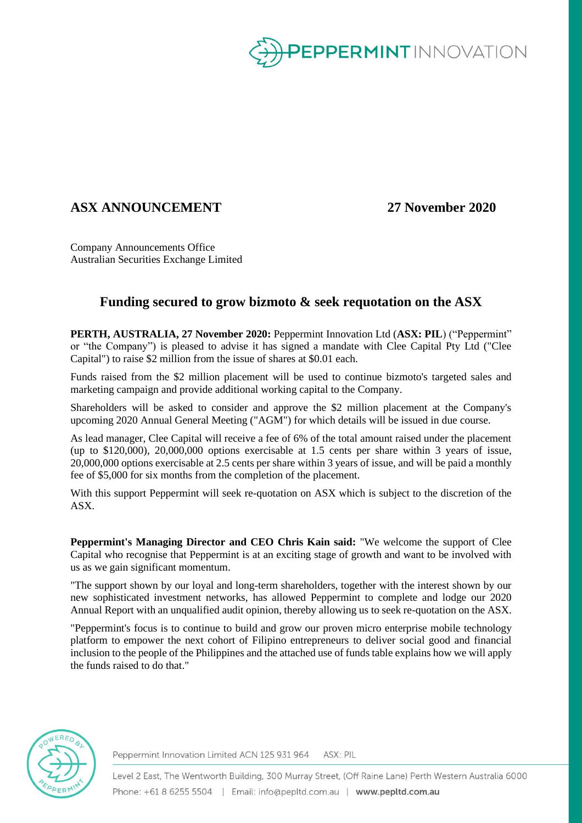

## **ASX ANNOUNCEMENT 27 November 2020**

Company Announcements Office Australian Securities Exchange Limited

## **Funding secured to grow bizmoto & seek requotation on the ASX**

**PERTH, AUSTRALIA, 27 November 2020:** Peppermint Innovation Ltd (**ASX: PIL**) ("Peppermint" or "the Company") is pleased to advise it has signed a mandate with Clee Capital Pty Ltd ("Clee Capital") to raise \$2 million from the issue of shares at \$0.01 each.

Funds raised from the \$2 million placement will be used to continue bizmoto's targeted sales and marketing campaign and provide additional working capital to the Company.

Shareholders will be asked to consider and approve the \$2 million placement at the Company's upcoming 2020 Annual General Meeting ("AGM") for which details will be issued in due course.

As lead manager, Clee Capital will receive a fee of 6% of the total amount raised under the placement (up to \$120,000), 20,000,000 options exercisable at 1.5 cents per share within 3 years of issue, 20,000,000 options exercisable at 2.5 cents per share within 3 years of issue, and will be paid a monthly fee of \$5,000 for six months from the completion of the placement.

With this support Peppermint will seek re-quotation on ASX which is subject to the discretion of the ASX.

**Peppermint's Managing Director and CEO Chris Kain said:** "We welcome the support of Clee Capital who recognise that Peppermint is at an exciting stage of growth and want to be involved with us as we gain significant momentum.

"The support shown by our loyal and long-term shareholders, together with the interest shown by our new sophisticated investment networks, has allowed Peppermint to complete and lodge our 2020 Annual Report with an unqualified audit opinion, thereby allowing us to seek re-quotation on the ASX.

"Peppermint's focus is to continue to build and grow our proven micro enterprise mobile technology platform to empower the next cohort of Filipino entrepreneurs to deliver social good and financial inclusion to the people of the Philippines and the attached use of funds table explains how we will apply the funds raised to do that."



Peppermint Innovation Limited ACN 125 931 964 ASX: PIL